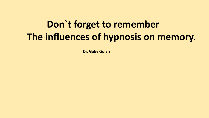# **Don`t forget to remember The influences of hypnosis on memory.**

**Dr. Gaby Golan**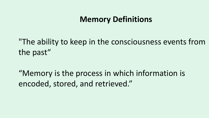## **Memory Definitions**

"The ability to keep in the consciousness events from the past"

"Memory is the process in which information is encoded, stored, and retrieved."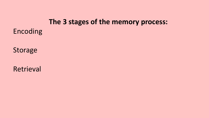#### **The 3 stages of the memory process:**

Encoding

Storage

Retrieval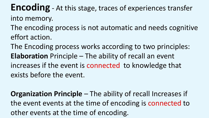**Encoding** - At this stage, traces of experiences transfer into memory.

- The encoding process is not automatic and needs cognitive effort action.
- The Encoding process works according to two principles: **Elaboration** Principle – The ability of recall an event increases if the event is connected to knowledge that exists before the event.

**Organization Principle** – The ability of recall Increases if the event events at the time of encoding is connected to other events at the time of encoding.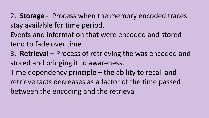2. **Storage** - Process when the memory encoded traces stay available for time period.

Events and information that were encoded and stored tend to fade over time.

3. **Retrieval** – Process of retrieving the was encoded and stored and bringing it to awareness.

Time dependency principle – the ability to recall and retrieve facts decreases as a factor of the time passed between the encoding and the retrieval.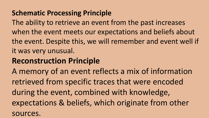## **Schematic Processing Principle**

The ability to retrieve an event from the past increases when the event meets our expectations and beliefs about the event. Despite this, we will remember and event well if it was very unusual.

# **Reconstruction Principle**

A memory of an event reflects a mix of information retrieved from specific traces that were encoded during the event, combined with knowledge, expectations & beliefs, which originate from other sources.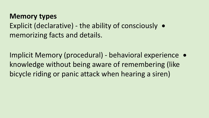**Memory types** Explicit (declarative) - the ability of consciously memorizing facts and details.

Implicit Memory (procedural) - behavioral experience knowledge without being aware of remembering (like bicycle riding or panic attack when hearing a siren)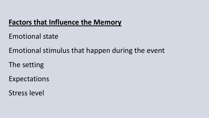#### **Factors that Influence the Memory**

Emotional state

Emotional stimulus that happen during the event

The setting

Expectations

Stress level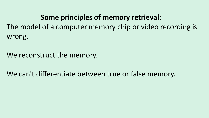**Some principles of memory retrieval:**  The model of a computer memory chip or video recording is wrong.

We reconstruct the memory.

We can't differentiate between true or false memory.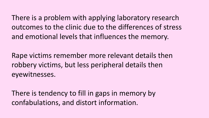There is a problem with applying laboratory research outcomes to the clinic due to the differences of stress and emotional levels that influences the memory.

Rape victims remember more relevant details then robbery victims, but less peripheral details then eyewitnesses.

There is tendency to fill in gaps in memory by confabulations, and distort information.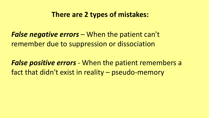#### **There are 2 types of mistakes:**

*False negative errors* – When the patient can't remember due to suppression or dissociation

*False positive errors* - When the patient remembers a fact that didn't exist in reality – pseudo-memory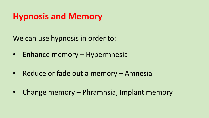# **Hypnosis and Memory**

We can use hypnosis in order to:

- Enhance memory Hypermnesia
- Reduce or fade out a memory Amnesia
- Change memory Phramnsia, Implant memory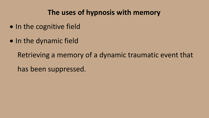### **The uses of hypnosis with memory**

- In the cognitive field
- In the dynamic field

Retrieving a memory of a dynamic traumatic event that has been suppressed.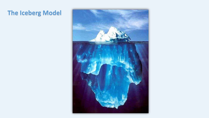## **The Iceberg Model**

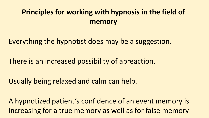# **Principles for working with hypnosis in the field of memory**

Everything the hypnotist does may be a suggestion.

There is an increased possibility of abreaction.

Usually being relaxed and calm can help.

A hypnotized patient's confidence of an event memory is increasing for a true memory as well as for false memory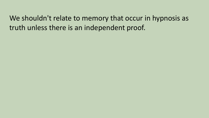We shouldn't relate to memory that occur in hypnosis as truth unless there is an independent proof.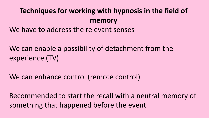# **Techniques for working with hypnosis in the field of memory**

We have to address the relevant senses

We can enable a possibility of detachment from the experience (TV)

We can enhance control (remote control)

Recommended to start the recall with a neutral memory of something that happened before the event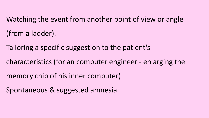Watching the event from another point of view or angle (from a ladder).

Tailoring a specific suggestion to the patient's

characteristics (for an computer engineer - enlarging the

memory chip of his inner computer)

Spontaneous & suggested amnesia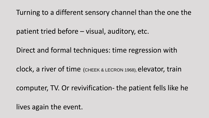Turning to a different sensory channel than the one the

patient tried before – visual, auditory, etc.

Direct and formal techniques: time regression with

clock, a river of time (CHEEK & LECRON 1968), elevator, train

computer, TV. Or revivification- the patient fells like he

lives again the event.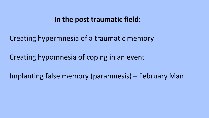#### **In the post traumatic field:**

Creating hypermnesia of a traumatic memory

Creating hypomnesia of coping in an event

Implanting false memory (paramnesis) – February Man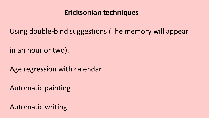#### **Ericksonian techniques**

Using double-bind suggestions (The memory will appear

in an hour or two).

Age regression with calendar

Automatic painting

Automatic writing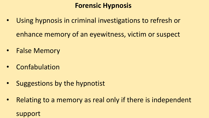## **Forensic Hypnosis**

- Using hypnosis in criminal investigations to refresh or enhance memory of an eyewitness, victim or suspect
- False Memory
- Confabulation
- Suggestions by the hypnotist
- Relating to a memory as real only if there is independent support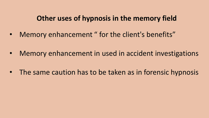#### **Other uses of hypnosis in the memory field**

- Memory enhancement " for the client's benefits"
- Memory enhancement in used in accident investigations
- The same caution has to be taken as in forensic hypnosis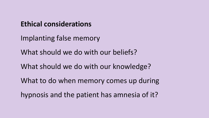## **Ethical considerations**

Implanting false memory

What should we do with our beliefs?

What should we do with our knowledge?

What to do when memory comes up during

hypnosis and the patient has amnesia of it?